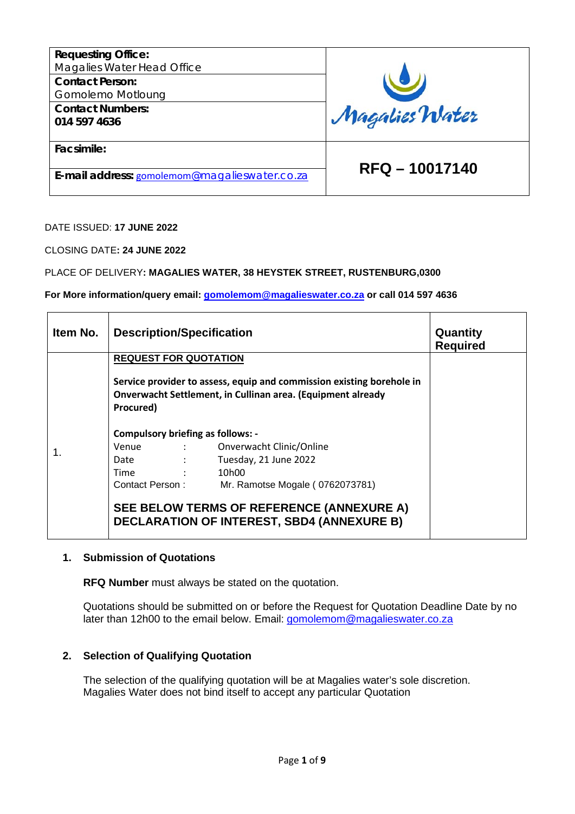| <b>Requesting Office:</b><br>Magalies Water Head Office |                |
|---------------------------------------------------------|----------------|
| <b>Contact Person:</b>                                  |                |
| Gomolemo Motloung<br><b>Contact Numbers:</b>            |                |
| 014 597 4636                                            | Magalies Water |
| Facsimile:                                              |                |
| E-mail address: gomolemom@magalieswater.co.za           | RFQ-10017140   |

DATE ISSUED: **17 JUNE 2022**

CLOSING DATE**: 24 JUNE 2022**

PLACE OF DELIVERY**: MAGALIES WATER, 38 HEYSTEK STREET, RUSTENBURG,0300**

**For More information/query email: [gomolemom@magalieswater.co.za](mailto:gomolemom@magalieswater.co.za) or call 014 597 4636**

| Item No.                                                                                       | <b>Description/Specification</b>                   |                                                                                                                                      | Quantity<br><b>Required</b> |
|------------------------------------------------------------------------------------------------|----------------------------------------------------|--------------------------------------------------------------------------------------------------------------------------------------|-----------------------------|
|                                                                                                | <b>REQUEST FOR QUOTATION</b>                       |                                                                                                                                      |                             |
|                                                                                                | Procured)                                          | Service provider to assess, equip and commission existing borehole in<br>Onverwacht Settlement, in Cullinan area. (Equipment already |                             |
|                                                                                                | <b>Compulsory briefing as follows: -</b>           |                                                                                                                                      |                             |
| 1.                                                                                             |                                                    | Venue : Onverwacht Clinic/Online                                                                                                     |                             |
|                                                                                                | $\sim 10^{11}$ M $_\odot$ , $\sim 10^{11}$<br>Date | Tuesday, 21 June 2022                                                                                                                |                             |
|                                                                                                | $\sim 10^{11}$ M $_\odot$ , $\sim 10^{11}$<br>Time | 10h00                                                                                                                                |                             |
|                                                                                                |                                                    | Contact Person: Mr. Ramotse Mogale (0762073781)                                                                                      |                             |
| SEE BELOW TERMS OF REFERENCE (ANNEXURE A)<br><b>DECLARATION OF INTEREST, SBD4 (ANNEXURE B)</b> |                                                    |                                                                                                                                      |                             |

#### **1. Submission of Quotations**

**RFQ Number** must always be stated on the quotation.

Quotations should be submitted on or before the Request for Quotation Deadline Date by no later than 12h00 to the email below. Email: [gomolemom@magalieswater.co.za](mailto:gomolemom@magalieswater.co.za)

#### **2. Selection of Qualifying Quotation**

The selection of the qualifying quotation will be at Magalies water's sole discretion. Magalies Water does not bind itself to accept any particular Quotation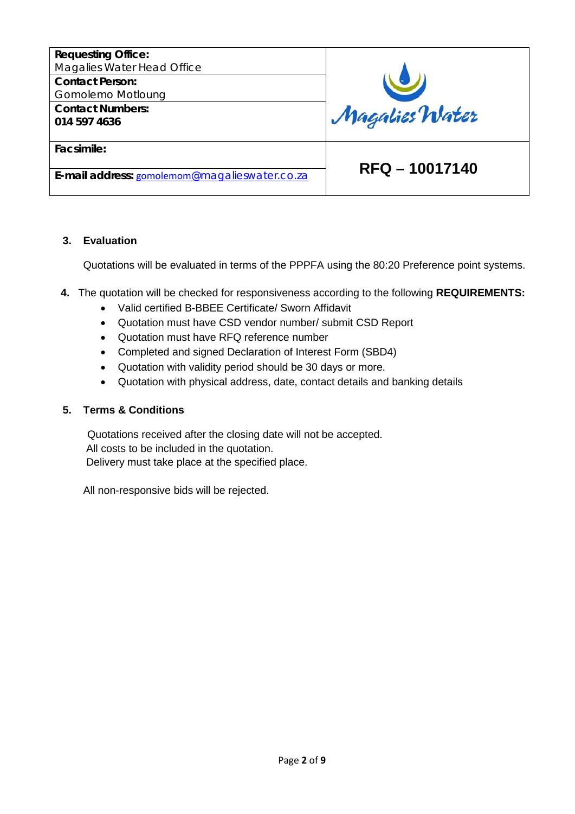

### **3. Evaluation**

Quotations will be evaluated in terms of the PPPFA using the 80:20 Preference point systems.

- **4.** The quotation will be checked for responsiveness according to the following **REQUIREMENTS:**
	- Valid certified B-BBEE Certificate/ Sworn Affidavit
	- Quotation must have CSD vendor number/ submit CSD Report
	- Quotation must have RFQ reference number
	- Completed and signed Declaration of Interest Form (SBD4)
	- Quotation with validity period should be 30 days or more.
	- Quotation with physical address, date, contact details and banking details

### **5. Terms & Conditions**

 Quotations received after the closing date will not be accepted. All costs to be included in the quotation. Delivery must take place at the specified place.

All non-responsive bids will be rejected.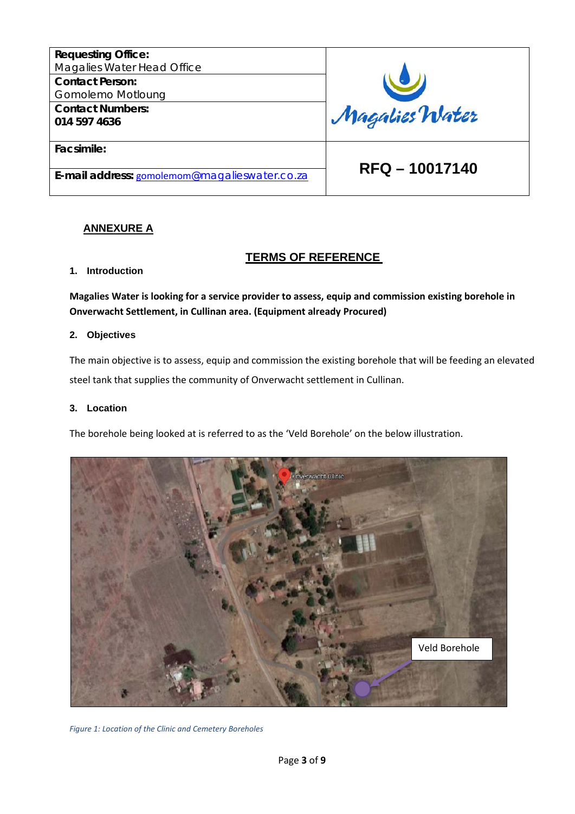| <b>Requesting Office:</b><br>Magalies Water Head Office |                |
|---------------------------------------------------------|----------------|
| <b>Contact Person:</b><br>Gomolemo Motloung             |                |
| <b>Contact Numbers:</b><br>014 597 4636                 | Magalies Water |
| Facsimile:                                              | RFQ - 10017140 |
| E-mail address: gomolemom@magalieswater.co.za           |                |

## **ANNEXURE A**

### **TERMS OF REFERENCE**

#### **1. Introduction**

**Magalies Water is looking for a service provider to assess, equip and commission existing borehole in Onverwacht Settlement, in Cullinan area. (Equipment already Procured)**

#### **2. Objectives**

The main objective is to assess, equip and commission the existing borehole that will be feeding an elevated steel tank that supplies the community of Onverwacht settlement in Cullinan.

#### **3. Location**

The borehole being looked at is referred to as the 'Veld Borehole' on the below illustration.



*Figure 1: Location of the Clinic and Cemetery Boreholes*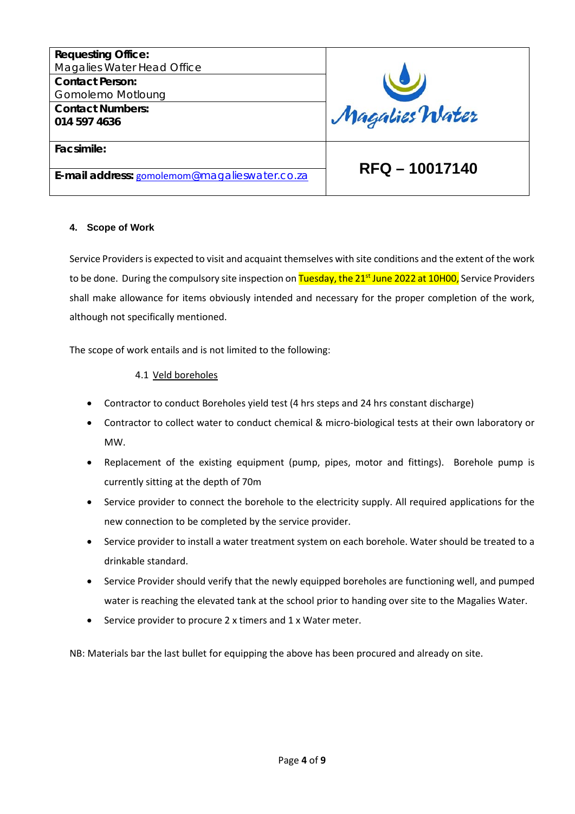| <b>Requesting Office:</b>                     |                |
|-----------------------------------------------|----------------|
| Magalies Water Head Office                    |                |
| <b>Contact Person:</b>                        |                |
| Gomolemo Motloung                             |                |
| <b>Contact Numbers:</b>                       | Magalies Water |
| 014 597 4636                                  |                |
|                                               |                |
| Facsimile:                                    |                |
|                                               |                |
| E-mail address: gomolemom@magalieswater.co.za | RFQ - 10017140 |
|                                               |                |

#### **4. Scope of Work**

Service Providers is expected to visit and acquaint themselves with site conditions and the extent of the work to be done. During the compulsory site inspection on Tuesday, the 21<sup>st</sup> June 2022 at 10H00, Service Providers shall make allowance for items obviously intended and necessary for the proper completion of the work, although not specifically mentioned.

The scope of work entails and is not limited to the following:

#### 4.1 Veld boreholes

- Contractor to conduct Boreholes yield test (4 hrs steps and 24 hrs constant discharge)
- Contractor to collect water to conduct chemical & micro-biological tests at their own laboratory or MW.
- Replacement of the existing equipment (pump, pipes, motor and fittings). Borehole pump is currently sitting at the depth of 70m
- Service provider to connect the borehole to the electricity supply. All required applications for the new connection to be completed by the service provider.
- Service provider to install a water treatment system on each borehole. Water should be treated to a drinkable standard.
- Service Provider should verify that the newly equipped boreholes are functioning well, and pumped water is reaching the elevated tank at the school prior to handing over site to the Magalies Water.
- Service provider to procure 2 x timers and 1 x Water meter.

NB: Materials bar the last bullet for equipping the above has been procured and already on site.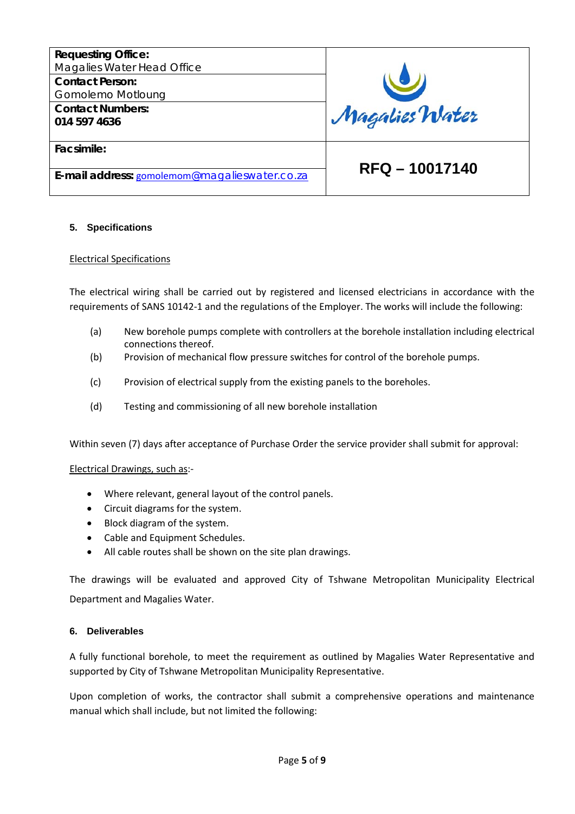

#### **5. Specifications**

#### Electrical Specifications

The electrical wiring shall be carried out by registered and licensed electricians in accordance with the requirements of SANS 10142-1 and the regulations of the Employer. The works will include the following:

- (a) New borehole pumps complete with controllers at the borehole installation including electrical connections thereof.
- (b) Provision of mechanical flow pressure switches for control of the borehole pumps.
- (c) Provision of electrical supply from the existing panels to the boreholes.
- (d) Testing and commissioning of all new borehole installation

Within seven (7) days after acceptance of Purchase Order the service provider shall submit for approval:

#### Electrical Drawings, such as:-

- Where relevant, general layout of the control panels.
- Circuit diagrams for the system.
- Block diagram of the system.
- Cable and Equipment Schedules.
- All cable routes shall be shown on the site plan drawings.

The drawings will be evaluated and approved City of Tshwane Metropolitan Municipality Electrical Department and Magalies Water.

#### **6. Deliverables**

A fully functional borehole, to meet the requirement as outlined by Magalies Water Representative and supported by City of Tshwane Metropolitan Municipality Representative.

Upon completion of works, the contractor shall submit a comprehensive operations and maintenance manual which shall include, but not limited the following: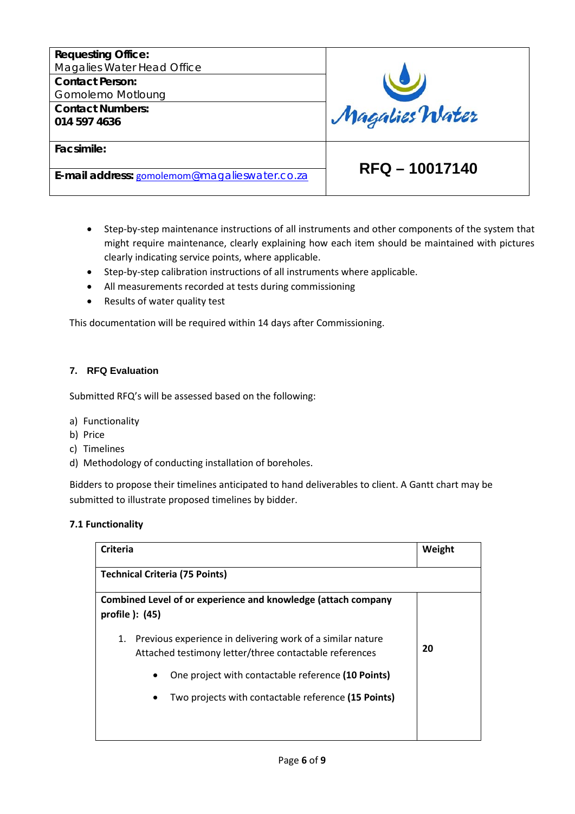

- Step-by-step maintenance instructions of all instruments and other components of the system that might require maintenance, clearly explaining how each item should be maintained with pictures clearly indicating service points, where applicable.
- Step-by-step calibration instructions of all instruments where applicable.
- All measurements recorded at tests during commissioning
- Results of water quality test

This documentation will be required within 14 days after Commissioning.

#### **7. RFQ Evaluation**

Submitted RFQ's will be assessed based on the following:

- a) Functionality
- b) Price
- c) Timelines
- d) Methodology of conducting installation of boreholes.

Bidders to propose their timelines anticipated to hand deliverables to client. A Gantt chart may be submitted to illustrate proposed timelines by bidder.

### **7.1 Functionality**

| Criteria                                                                                                                   | Weight |
|----------------------------------------------------------------------------------------------------------------------------|--------|
| <b>Technical Criteria (75 Points)</b>                                                                                      |        |
| Combined Level of or experience and knowledge (attach company<br>profile $)$ : (45)                                        |        |
| Previous experience in delivering work of a similar nature<br>1.<br>Attached testimony letter/three contactable references | 20     |
| One project with contactable reference (10 Points)                                                                         |        |
| Two projects with contactable reference (15 Points)                                                                        |        |
|                                                                                                                            |        |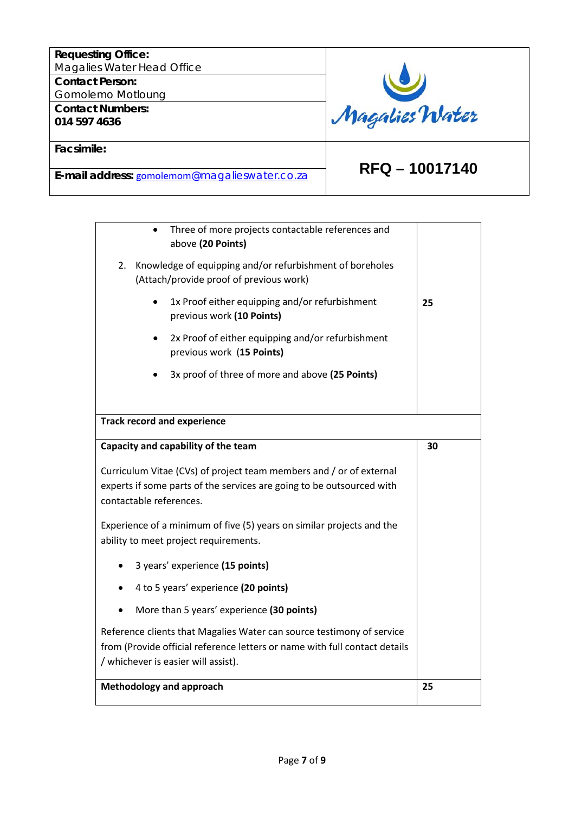# **Requesting Office:** Magalies Water Head Office Magalies Water **Contact Person:**  Gomolemo Motloung **Contact Numbers: 014 597 4636 Facsimile: RFQ – 10017140 E-mail address:** [gomolemom](mailto:gomolemom@magalieswater.co.za)[@magalieswater.co.za](mailto:gomolemom@magalieswater.co.za)

Г

|    | 4 to 5 years' experience (20 points)<br>More than 5 years' experience (30 points)<br>Reference clients that Magalies Water can source testimony of service<br>from (Provide official reference letters or name with full contact details<br>/ whichever is easier will assist).<br><b>Methodology and approach</b> | 25 |
|----|--------------------------------------------------------------------------------------------------------------------------------------------------------------------------------------------------------------------------------------------------------------------------------------------------------------------|----|
|    |                                                                                                                                                                                                                                                                                                                    |    |
|    |                                                                                                                                                                                                                                                                                                                    |    |
|    |                                                                                                                                                                                                                                                                                                                    |    |
|    | 3 years' experience (15 points)                                                                                                                                                                                                                                                                                    |    |
|    | Experience of a minimum of five (5) years on similar projects and the<br>ability to meet project requirements.                                                                                                                                                                                                     |    |
|    | Curriculum Vitae (CVs) of project team members and / or of external<br>experts if some parts of the services are going to be outsourced with<br>contactable references.                                                                                                                                            |    |
|    | Capacity and capability of the team                                                                                                                                                                                                                                                                                | 30 |
|    | <b>Track record and experience</b>                                                                                                                                                                                                                                                                                 |    |
|    | 3x proof of three of more and above (25 Points)                                                                                                                                                                                                                                                                    |    |
|    | 2x Proof of either equipping and/or refurbishment<br>previous work (15 Points)                                                                                                                                                                                                                                     |    |
|    | 1x Proof either equipping and/or refurbishment<br>previous work (10 Points)                                                                                                                                                                                                                                        | 25 |
|    | Knowledge of equipping and/or refurbishment of boreholes<br>(Attach/provide proof of previous work)                                                                                                                                                                                                                |    |
| 2. | above (20 Points)                                                                                                                                                                                                                                                                                                  |    |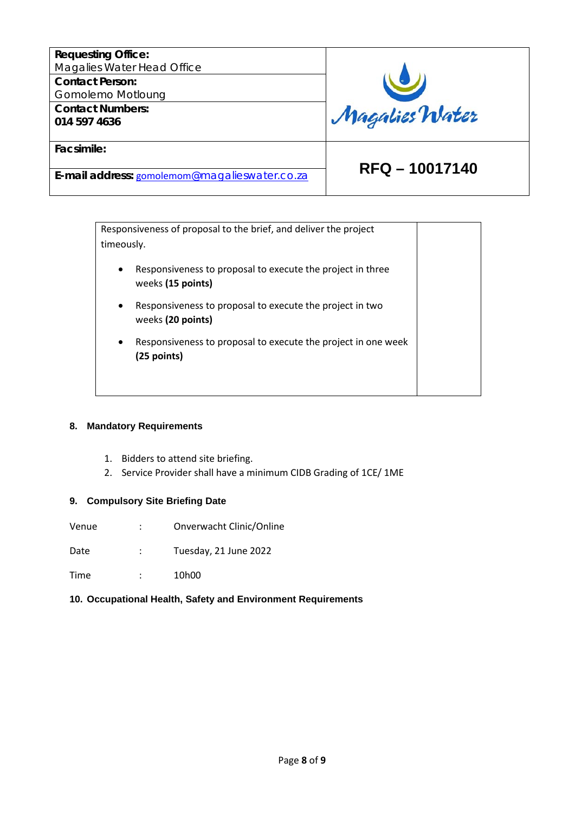| <b>Requesting Office:</b><br>Magalies Water Head Office |                |
|---------------------------------------------------------|----------------|
| <b>Contact Person:</b>                                  |                |
| Gomolemo Motloung                                       |                |
| <b>Contact Numbers:</b><br>014 597 4636                 | Magalies Water |
|                                                         |                |
| Facsimile:                                              |                |
|                                                         | RFQ - 10017140 |
| E-mail address: gomolemom@magalieswater.co.za           |                |

|            | Responsiveness of proposal to the brief, and deliver the project                |  |
|------------|---------------------------------------------------------------------------------|--|
| timeously. |                                                                                 |  |
| $\bullet$  | Responsiveness to proposal to execute the project in three<br>weeks (15 points) |  |
| $\bullet$  | Responsiveness to proposal to execute the project in two<br>weeks (20 points)   |  |
| $\bullet$  | Responsiveness to proposal to execute the project in one week<br>$(25$ points)  |  |
|            |                                                                                 |  |

#### **8. Mandatory Requirements**

- 1. Bidders to attend site briefing.
- 2. Service Provider shall have a minimum CIDB Grading of 1CE/ 1ME

## **9. Compulsory Site Briefing Date**

Venue : Onverwacht Clinic/Online

Date : Tuesday, 21 June 2022

Time : 10h00

## **10. Occupational Health, Safety and Environment Requirements**